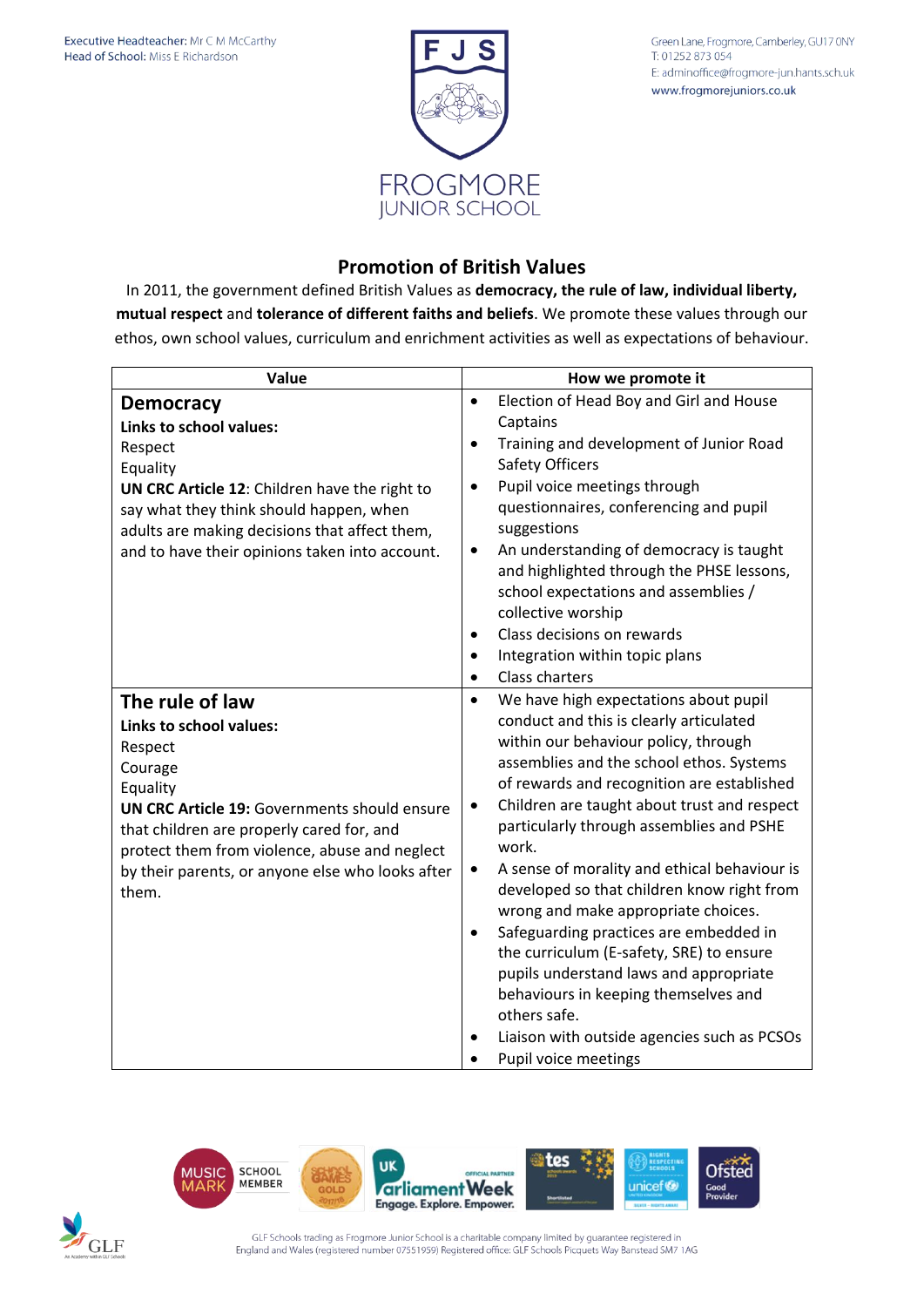

Green Lane, Frogmore, Camberley, GU17 0NY T: 01252 873 054 E: adminoffice@frogmore-jun.hants.sch.uk www.frogmorejuniors.co.uk

## **Promotion of British Values**

In 2011, the government defined British Values as **democracy, the rule of law, individual liberty, mutual respect** and **tolerance of different faiths and beliefs**. We promote these values through our ethos, own school values, curriculum and enrichment activities as well as expectations of behaviour.

| Value                                               | How we promote it                                        |
|-----------------------------------------------------|----------------------------------------------------------|
| <b>Democracy</b>                                    | Election of Head Boy and Girl and House<br>$\bullet$     |
| Links to school values:                             | Captains                                                 |
| Respect                                             | Training and development of Junior Road<br>$\bullet$     |
| Equality                                            | <b>Safety Officers</b>                                   |
| UN CRC Article 12: Children have the right to       | Pupil voice meetings through<br>$\bullet$                |
| say what they think should happen, when             | questionnaires, conferencing and pupil                   |
| adults are making decisions that affect them,       | suggestions                                              |
| and to have their opinions taken into account.      | An understanding of democracy is taught<br>٠             |
|                                                     | and highlighted through the PHSE lessons,                |
|                                                     | school expectations and assemblies /                     |
|                                                     | collective worship                                       |
|                                                     | Class decisions on rewards<br>$\bullet$                  |
|                                                     | Integration within topic plans<br>$\bullet$              |
|                                                     | Class charters<br>$\bullet$                              |
| The rule of law                                     | We have high expectations about pupil<br>$\bullet$       |
| Links to school values:                             | conduct and this is clearly articulated                  |
| Respect                                             | within our behaviour policy, through                     |
| Courage                                             | assemblies and the school ethos. Systems                 |
| Equality                                            | of rewards and recognition are established               |
| <b>UN CRC Article 19: Governments should ensure</b> | Children are taught about trust and respect<br>$\bullet$ |
| that children are properly cared for, and           | particularly through assemblies and PSHE                 |
| protect them from violence, abuse and neglect       | work.                                                    |
| by their parents, or anyone else who looks after    | A sense of morality and ethical behaviour is             |
| them.                                               | developed so that children know right from               |
|                                                     | wrong and make appropriate choices.                      |
|                                                     | Safeguarding practices are embedded in                   |
|                                                     | the curriculum (E-safety, SRE) to ensure                 |
|                                                     | pupils understand laws and appropriate                   |
|                                                     | behaviours in keeping themselves and                     |
|                                                     | others safe.                                             |
|                                                     | Liaison with outside agencies such as PCSOs              |
|                                                     | Pupil voice meetings                                     |



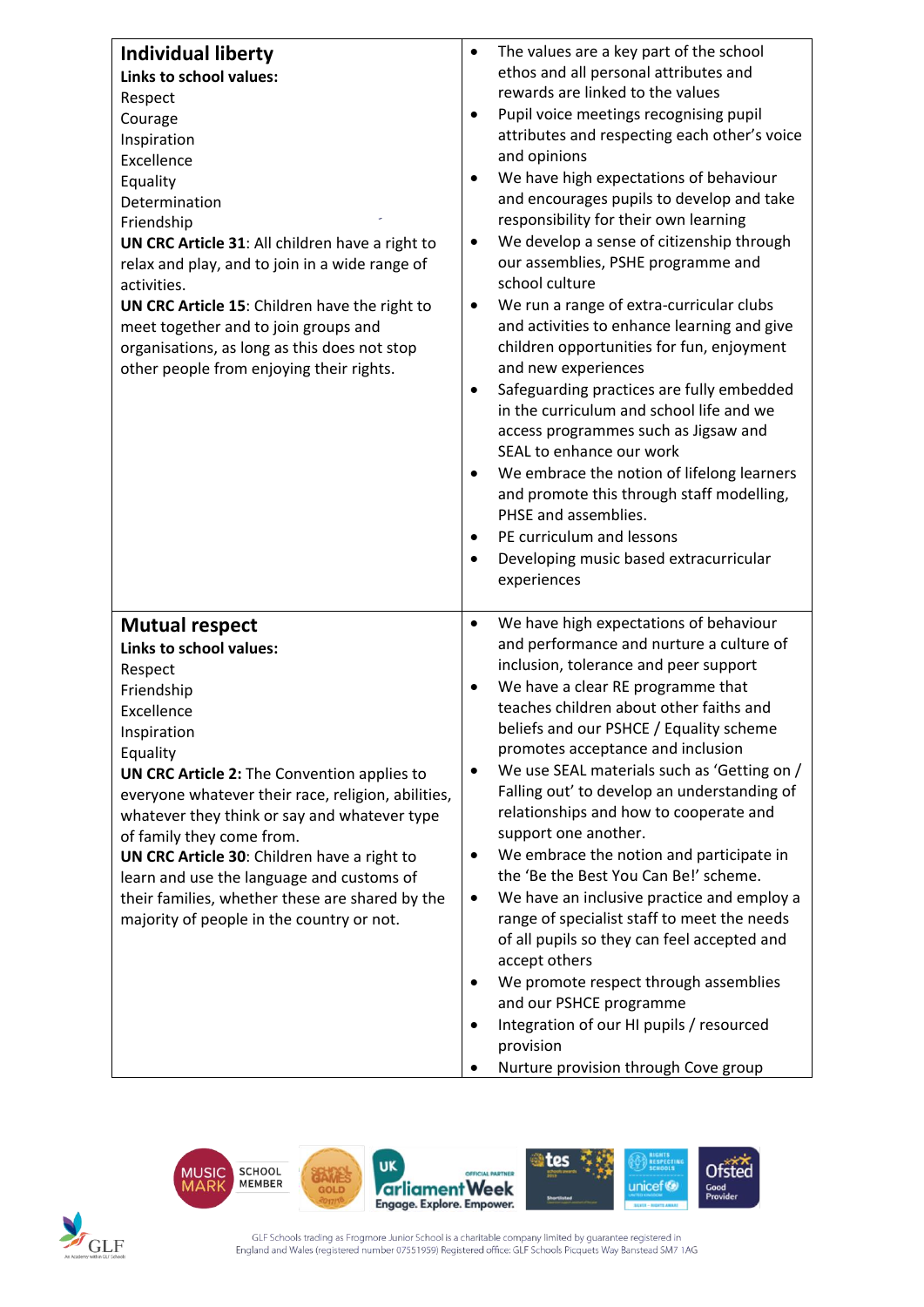| <b>Individual liberty</b><br><b>Links to school values:</b><br>Respect<br>Courage<br>Inspiration<br>Excellence<br>Equality<br>Determination<br>Friendship<br>UN CRC Article 31: All children have a right to<br>relax and play, and to join in a wide range of<br>activities.<br>UN CRC Article 15: Children have the right to<br>meet together and to join groups and<br>organisations, as long as this does not stop<br>other people from enjoying their rights.                               | The values are a key part of the school<br>$\bullet$<br>ethos and all personal attributes and<br>rewards are linked to the values<br>Pupil voice meetings recognising pupil<br>$\bullet$<br>attributes and respecting each other's voice<br>and opinions<br>We have high expectations of behaviour<br>$\bullet$<br>and encourages pupils to develop and take<br>responsibility for their own learning<br>We develop a sense of citizenship through<br>$\bullet$<br>our assemblies, PSHE programme and<br>school culture<br>We run a range of extra-curricular clubs<br>$\bullet$<br>and activities to enhance learning and give<br>children opportunities for fun, enjoyment<br>and new experiences<br>Safeguarding practices are fully embedded<br>$\bullet$<br>in the curriculum and school life and we<br>access programmes such as Jigsaw and<br>SEAL to enhance our work<br>We embrace the notion of lifelong learners<br>$\bullet$<br>and promote this through staff modelling,<br>PHSE and assemblies.<br>PE curriculum and lessons<br>$\bullet$<br>Developing music based extracurricular<br>$\bullet$<br>experiences |
|--------------------------------------------------------------------------------------------------------------------------------------------------------------------------------------------------------------------------------------------------------------------------------------------------------------------------------------------------------------------------------------------------------------------------------------------------------------------------------------------------|-------------------------------------------------------------------------------------------------------------------------------------------------------------------------------------------------------------------------------------------------------------------------------------------------------------------------------------------------------------------------------------------------------------------------------------------------------------------------------------------------------------------------------------------------------------------------------------------------------------------------------------------------------------------------------------------------------------------------------------------------------------------------------------------------------------------------------------------------------------------------------------------------------------------------------------------------------------------------------------------------------------------------------------------------------------------------------------------------------------------------------|
| <b>Mutual respect</b><br>Links to school values:<br>Respect<br>Friendship<br>Excellence<br>Inspiration<br>Equality<br>UN CRC Article 2: The Convention applies to<br>everyone whatever their race, religion, abilities,<br>whatever they think or say and whatever type<br>of family they come from.<br>UN CRC Article 30: Children have a right to<br>learn and use the language and customs of<br>their families, whether these are shared by the<br>majority of people in the country or not. | We have high expectations of behaviour<br>$\bullet$<br>and performance and nurture a culture of<br>inclusion, tolerance and peer support<br>We have a clear RE programme that<br>teaches children about other faiths and<br>beliefs and our PSHCE / Equality scheme<br>promotes acceptance and inclusion<br>We use SEAL materials such as 'Getting on /<br>$\bullet$<br>Falling out' to develop an understanding of<br>relationships and how to cooperate and<br>support one another.<br>We embrace the notion and participate in<br>$\bullet$<br>the 'Be the Best You Can Be!' scheme.<br>We have an inclusive practice and employ a<br>٠<br>range of specialist staff to meet the needs<br>of all pupils so they can feel accepted and<br>accept others<br>We promote respect through assemblies<br>and our PSHCE programme<br>Integration of our HI pupils / resourced<br>$\bullet$<br>provision<br>Nurture provision through Cove group                                                                                                                                                                                   |





GLF Schools trading as Frogmore Junior School is a charitable company limited by guarantee registered in<br>England and Wales (registered number 07551959) Registered office: GLF Schools Picquets Way Banstead SM7 1AG